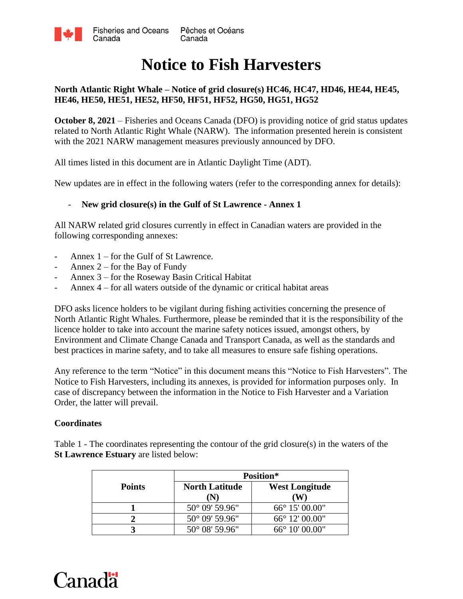

# **Notice to Fish Harvesters**

#### **North Atlantic Right Whale – Notice of grid closure(s) HC46, HC47, HD46, HE44, HE45, HE46, HE50, HE51, HE52, HF50, HF51, HF52, HG50, HG51, HG52**

**October 8, 2021** – Fisheries and Oceans Canada (DFO) is providing notice of grid status updates related to North Atlantic Right Whale (NARW). The information presented herein is consistent with the 2021 NARW management measures previously announced by DFO.

All times listed in this document are in Atlantic Daylight Time (ADT).

New updates are in effect in the following waters (refer to the corresponding annex for details):

#### - **New grid closure(s) in the Gulf of St Lawrence - Annex 1**

All NARW related grid closures currently in effect in Canadian waters are provided in the following corresponding annexes:

- Annex  $1$  for the Gulf of St Lawrence.
- Annex  $2$  for the Bay of Fundy
- Annex 3 for the Roseway Basin Critical Habitat
- Annex 4 for all waters outside of the dynamic or critical habitat areas

DFO asks licence holders to be vigilant during fishing activities concerning the presence of North Atlantic Right Whales. Furthermore, please be reminded that it is the responsibility of the licence holder to take into account the marine safety notices issued, amongst others, by Environment and Climate Change Canada and Transport Canada, as well as the standards and best practices in marine safety, and to take all measures to ensure safe fishing operations.

Any reference to the term "Notice" in this document means this "Notice to Fish Harvesters". The Notice to Fish Harvesters, including its annexes, is provided for information purposes only. In case of discrepancy between the information in the Notice to Fish Harvester and a Variation Order, the latter will prevail.

#### **Coordinates**

Table 1 - The coordinates representing the contour of the grid closure(s) in the waters of the **St Lawrence Estuary** are listed below:

|               | Position*                   |                            |  |
|---------------|-----------------------------|----------------------------|--|
| <b>Points</b> | <b>North Latitude</b><br>'N | <b>West Longitude</b><br>w |  |
|               | $50^{\circ}$ 09' 59.96"     | 66° 15′ 00.00"             |  |
|               | 50° 09' 59.96"              | 66° 12′ 00.00"             |  |
|               | 50° 08' 59.96"              | 66° 10' 00.00"             |  |

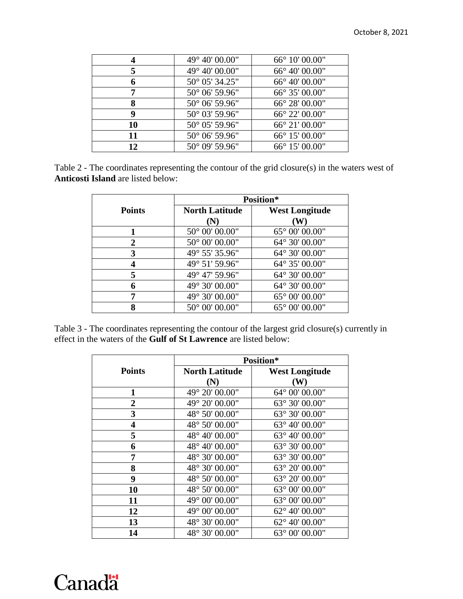| 4  | 49° 40' 00.00"          | 66° 10' 00.00"          |
|----|-------------------------|-------------------------|
| 5  | 49° 40' 00.00"          | 66° 40' 00.00"          |
| 6  | 50° 05' 34.25"          | $66^{\circ}$ 40' 00.00" |
| 7  | $50^{\circ}$ 06' 59.96" | 66° 35′ 00.00"          |
| 8  | 50° 06' 59.96"          | 66° 28′ 00.00"          |
| 9  | 50° 03' 59.96"          | 66° 22′ 00.00"          |
| 10 | 50° 05' 59.96"          | 66° 21′ 00.00"          |
| 11 | 50° 06' 59.96"          | 66° 15′ 00.00"          |
| 12 | $50^{\circ}$ 09' 59.96" | 66° 15′ 00.00"          |

| Table 2 - The coordinates representing the contour of the grid closure(s) in the waters west of |  |  |  |  |
|-------------------------------------------------------------------------------------------------|--|--|--|--|
| <b>Anticosti Island</b> are listed below:                                                       |  |  |  |  |

|               | Position*             |                       |  |
|---------------|-----------------------|-----------------------|--|
| <b>Points</b> | <b>North Latitude</b> | <b>West Longitude</b> |  |
|               | (N)                   | W                     |  |
|               | 50° 00' 00.00"        | 65° 00' 00.00"        |  |
| 2             | 50° 00' 00.00"        | 64° 30' 00.00"        |  |
| 3             | 49° 55' 35.96"        | 64° 30' 00.00"        |  |
|               | 49° 51' 59.96"        | 64° 35' 00.00"        |  |
| 5             | 49° 47' 59.96"        | 64° 30' 00.00"        |  |
| 6             | 49° 30' 00.00"        | 64° 30' 00.00"        |  |
|               | 49° 30' 00.00"        | 65° 00' 00.00"        |  |
| 8             | 50° 00' 00.00"        | 65° 00' 00.00"        |  |

Table 3 - The coordinates representing the contour of the largest grid closure(s) currently in effect in the waters of the **Gulf of St Lawrence** are listed below:

|                         | Position*             |                         |  |
|-------------------------|-----------------------|-------------------------|--|
| <b>Points</b>           | <b>North Latitude</b> | <b>West Longitude</b>   |  |
|                         | (N)                   | $(\mathbf{W})$          |  |
| 1                       | 49° 20' 00.00"        | 64° 00' 00.00"          |  |
| $\overline{2}$          | 49° 20' 00.00"        | 63° 30' 00.00"          |  |
| $\overline{\mathbf{3}}$ | 48° 50' 00.00"        | 63° 30' 00.00"          |  |
| $\overline{\mathbf{4}}$ | 48° 50' 00.00"        | 63° 40' 00.00"          |  |
| 5                       | 48° 40' 00.00"        | 63° 40' 00.00"          |  |
| 6                       | 48° 40' 00.00"        | 63° 30' 00.00"          |  |
| 7                       | 48° 30' 00.00"        | 63° 30' 00.00"          |  |
| 8                       | 48° 30' 00.00"        | 63° 20' 00.00"          |  |
| 9                       | 48° 50' 00.00"        | 63° 20' 00.00"          |  |
| 10                      | 48° 50' 00.00"        | 63° 00' 00.00"          |  |
| 11                      | 49° 00' 00.00"        | 63° 00' 00.00"          |  |
| 12                      | 49° 00' 00.00"        | 62° 40' 00.00"          |  |
| 13                      | 48° 30' 00.00"        | 62° 40' 00.00"          |  |
| 14                      | 48° 30' 00.00"        | $63^{\circ}$ 00' 00.00" |  |

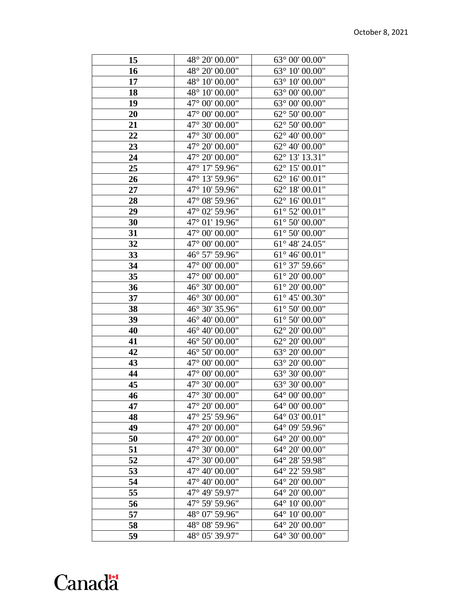# Canadä

| 15              | 48° 20' 00.00"            | 63° 00' 00.00"          |
|-----------------|---------------------------|-------------------------|
| 16              | 48° 20' 00.00"            | $63^{\circ}$ 10' 00.00" |
| 17              | 48° 10' 00.00"            | $63^{\circ}$ 10' 00.00" |
| 18              | 48° 10' 00.00"            | 63° 00' 00.00"          |
| 19              | 47° 00' 00.00"            | 63° 00' 00.00"          |
| 20              | 47° 00' 00.00"            | 62° 50' 00.00"          |
| 21              | 47° 30' 00.00"            | $62^{\circ}$ 50' 00.00" |
| 22              | 47° 30' 00.00"            | 62° 40' 00.00"          |
| 23              | 47° 20' 00.00"            | 62° 40' 00.00"          |
| 24              | 47° 20' 00.00"            | 62° 13' 13.31"          |
| 25              | 47° 17' 59.96"            | 62° 15' 00.01"          |
| 26              | 47° 13' 59.96"            | 62° 16' 00.01"          |
| 27              | 47° 10' 59.96"            | $62^{\circ}$ 18' 00.01" |
| 28              | 47° 08' 59.96"            | 62° 16' 00.01"          |
| 29              | 47° 02' 59.96"            | $61^{\circ}$ 52' 00.01" |
| 30              | 47° 01' 19.96"            | $61^{\circ}$ 50' 00.00" |
| 31              | $47^\circ$ 00' $00.00$ "  | $61^{\circ}$ 50' 00.00" |
| 32              | 47° 00' 00.00"            | 61° 48' 24.05"          |
| 33              | 46° 57' 59.96"            | $61^{\circ}$ 46' 00.01" |
| 34              | $47^{\circ}$ 00' $00.00"$ | 61° 37' 59.66"          |
| 35              | 47° 00' 00.00"            | $61^{\circ}$ 20' 00.00" |
| 36              | 46° 30' 00.00"            | $61^{\circ}$ 20' 00.00" |
| 37              | 46° 30' 00.00"            | $61^{\circ}$ 45' 00.30" |
| 38              | 46° 30' 35.96"            | 61° 50' 00.00"          |
| 39              | 46° 40' 00.00"            | $61^{\circ}$ 50' 00.00" |
| 40              | 46° 40' 00.00"            | 62° 20' 00.00"          |
| 41              | 46° 50' 00.00"            | $62^{\circ}$ 20' 00.00" |
| 42              | 46° 50' 00.00"            | 63° 20' 00.00"          |
| 43              | 47° 00' 00.00"            | 63° 20' 00.00"          |
| 44              | $47^{\circ}$ 00' $00.00"$ | 63° 30' 00.00"          |
| 45              | 47° 30' 00.00"            | 63° 30' 00.00"          |
| $\overline{46}$ | 47° 30' 00.00"            | 64° 00' 00.00"          |
| 47              | 47° 20' 00.00"            | 64° 00' 00.00"          |
| 48              | 47° 25' 59.96"            | 64° 03' 00.01"          |
| 49              | 47° 20' 00.00"            | 64° 09' 59.96"          |
| 50              | 47° 20' 00.00"            | 64° 20' 00.00"          |
| 51              | 47° 30' 00.00"            | 64° 20' 00.00"          |
| 52              | 47° 30' 00.00"            | 64° 28' 59.98"          |
| 53              | 47° 40' 00.00"            | 64° 22' 59.98"          |
| 54              | 47° 40' 00.00"            | 64° 20' 00.00"          |
| 55              | 47° 49' 59.97"            | 64° 20' 00.00"          |
| 56              | 47° 59' 59.96"            | 64° 10' 00.00"          |
| 57              | 48° 07' 59.96"            | 64° 10' 00.00"          |
| 58              | 48° 08' 59.96"            | 64° 20' 00.00"          |
| 59              | 48° 05' 39.97"            | 64° 30' 00.00"          |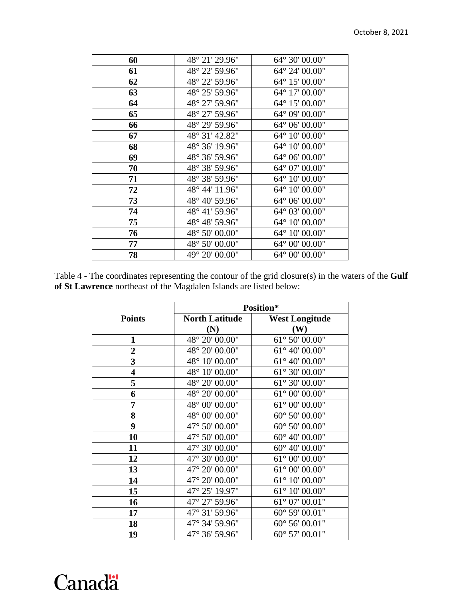| 60 | 48° 21' 29.96" | $64^{\circ} 30' 00.00"$ |
|----|----------------|-------------------------|
| 61 | 48° 22' 59.96" | 64° 24' 00.00"          |
| 62 | 48° 22' 59.96" | 64° 15' 00.00"          |
| 63 | 48° 25' 59.96" | 64° 17' 00.00"          |
| 64 | 48° 27' 59.96" | 64° 15' 00.00"          |
| 65 | 48° 27' 59.96" | 64° 09' 00.00"          |
| 66 | 48° 29' 59.96" | 64° 06' 00.00"          |
| 67 | 48° 31' 42.82" | 64° 10' 00.00"          |
| 68 | 48° 36' 19.96" | 64° 10' 00.00"          |
| 69 | 48° 36' 59.96" | 64° 06' 00.00"          |
| 70 | 48° 38' 59.96" | 64° 07' 00.00"          |
| 71 | 48° 38' 59.96" | 64° 10' 00.00"          |
| 72 | 48° 44' 11.96" | 64° 10' 00.00"          |
| 73 | 48° 40' 59.96" | 64° 06' 00.00"          |
| 74 | 48° 41' 59.96" | 64° 03' 00.00"          |
| 75 | 48° 48' 59.96" | 64° 10' 00.00"          |
| 76 | 48° 50' 00.00" | 64° 10' 00.00"          |
| 77 | 48° 50' 00.00" | 64° 00' 00.00"          |
| 78 | 49° 20' 00.00" | 64° 00' 00.00"          |

Table 4 - The coordinates representing the contour of the grid closure(s) in the waters of the **Gulf of St Lawrence** northeast of the Magdalen Islands are listed below:

|                         | Position*             |                         |  |
|-------------------------|-----------------------|-------------------------|--|
| <b>Points</b>           | <b>North Latitude</b> | <b>West Longitude</b>   |  |
|                         | (N)                   | (W)                     |  |
| $\mathbf{1}$            | 48° 20' 00.00"        | $61^{\circ}$ 50' 00.00" |  |
| $\overline{\mathbf{2}}$ | 48° 20' 00.00"        | 61° 40' 00.00"          |  |
| $\overline{\mathbf{3}}$ | 48° 10' 00.00"        | 61° 40' 00.00"          |  |
| $\overline{\mathbf{4}}$ | 48° 10' 00.00"        | 61° 30' 00.00"          |  |
| 5                       | 48° 20' 00.00"        | 61° 30' 00.00"          |  |
| 6                       | 48° 20' 00.00"        | 61° 00' 00.00"          |  |
| 7                       | 48° 00' 00.00"        | 61° 00' 00.00"          |  |
| 8                       | 48° 00' 00.00"        | 60° 50' 00.00"          |  |
| 9                       | 47° 50' 00.00"        | 60° 50' 00.00"          |  |
| 10                      | 47° 50' 00.00"        | 60° 40' 00.00"          |  |
| 11                      | 47° 30' 00.00"        | 60° 40' 00.00"          |  |
| 12                      | 47° 30' 00.00"        | $61^{\circ}$ 00' 00.00" |  |
| 13                      | 47° 20' 00.00"        | 61° 00' 00.00"          |  |
| 14                      | 47° 20' 00.00"        | 61° 10' 00.00"          |  |
| 15                      | 47° 25' 19.97"        | 61° 10' 00.00"          |  |
| 16                      | 47° 27' 59.96"        | $61^{\circ}$ 07' 00.01" |  |
| 17                      | 47° 31' 59.96"        | 60° 59' 00.01"          |  |
| 18                      | 47° 34' 59.96"        | 60° 56' 00.01"          |  |
| 19                      | 47° 36' 59.96"        | 60° 57' 00.01"          |  |

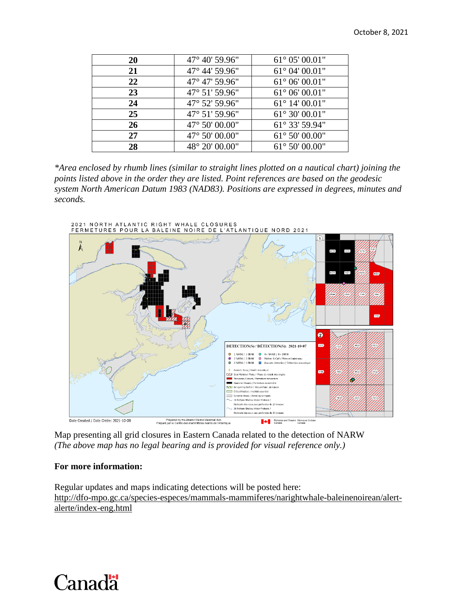| <b>20</b> | $47^{\circ}$ 40' 59.96" | $61^{\circ}$ 05' 00.01" |
|-----------|-------------------------|-------------------------|
| 21        | 47° 44' 59.96"          | $61^{\circ}$ 04' 00.01" |
| 22        | 47° 47′ 59.96″          | $61^{\circ}$ 06' 00.01" |
| 23        | $47^{\circ}$ 51' 59.96" | $61^{\circ}$ 06' 00.01" |
| 24        | 47° 52' 59.96"          | $61^{\circ}$ 14' 00.01" |
| 25        | 47° 51' 59.96"          | $61^{\circ} 30' 00.01"$ |
| 26        | 47° 50' 00.00"          | 61° 33' 59.94"          |
| 27        | 47° 50' 00.00"          | $61^{\circ} 50' 00.00"$ |
| 28        | 48° 20' 00.00"          | $61^{\circ} 50' 00.00"$ |

*\*Area enclosed by rhumb lines (similar to straight lines plotted on a nautical chart) joining the points listed above in the order they are listed. Point references are based on the geodesic system North American Datum 1983 (NAD83). Positions are expressed in degrees, minutes and seconds.*



Map presenting all grid closures in Eastern Canada related to the detection of NARW *(The above map has no legal bearing and is provided for visual reference only.)*

#### **For more information:**

Regular updates and maps indicating detections will be posted here: [http://dfo-mpo.gc.ca/species-especes/mammals-mammiferes/narightwhale-baleinenoirean/alert](http://dfo-mpo.gc.ca/species-especes/mammals-mammiferes/narightwhale-baleinenoirean/alert-alerte/index-eng.html)[alerte/index-eng.html](http://dfo-mpo.gc.ca/species-especes/mammals-mammiferes/narightwhale-baleinenoirean/alert-alerte/index-eng.html)

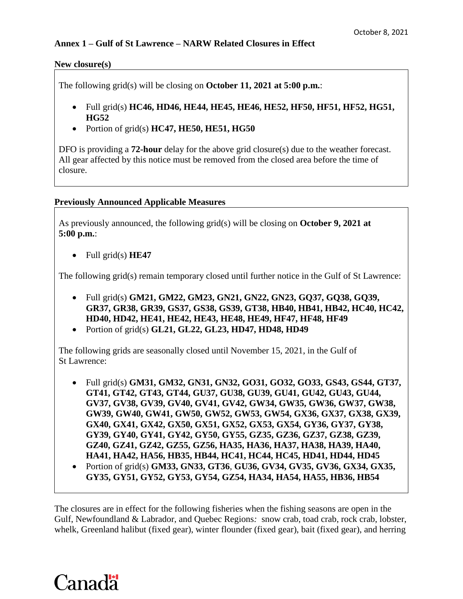#### **New closure(s)**

The following grid(s) will be closing on **October 11, 2021 at 5:00 p.m.**:

- Full grid(s) **HC46, HD46, HE44, HE45, HE46, HE52, HF50, HF51, HF52, HG51, HG52**
- Portion of grid(s) **HC47, HE50, HE51, HG50**

DFO is providing a **72-hour** delay for the above grid closure(s) due to the weather forecast. All gear affected by this notice must be removed from the closed area before the time of closure.

#### **Previously Announced Applicable Measures**

As previously announced, the following grid(s) will be closing on **October 9, 2021 at 5:00 p.m.**:

Full grid(s) **HE47**

The following grid(s) remain temporary closed until further notice in the Gulf of St Lawrence:

- Full grid(s) **GM21, GM22, GM23, GN21, GN22, GN23, GQ37, GQ38, GQ39, GR37, GR38, GR39, GS37, GS38, GS39, GT38, HB40, HB41, HB42, HC40, HC42, HD40, HD42, HE41, HE42, HE43, HE48, HE49, HF47, HF48, HF49**
- Portion of grid(s) **GL21, GL22, GL23, HD47, HD48, HD49**

The following grids are seasonally closed until November 15, 2021, in the Gulf of St Lawrence:

- Full grid(s) **GM31, GM32, GN31, GN32, GO31, GO32, GO33, GS43, GS44, GT37, GT41, GT42, GT43, GT44, GU37, GU38, GU39, GU41, GU42, GU43, GU44, GV37, GV38, GV39, GV40, GV41, GV42, GW34, GW35, GW36, GW37, GW38, GW39, GW40, GW41, GW50, GW52, GW53, GW54, GX36, GX37, GX38, GX39, GX40, GX41, GX42, GX50, GX51, GX52, GX53, GX54, GY36, GY37, GY38, GY39, GY40, GY41, GY42, GY50, GY55, GZ35, GZ36, GZ37, GZ38, GZ39, GZ40, GZ41, GZ42, GZ55, GZ56, HA35, HA36, HA37, HA38, HA39, HA40, HA41, HA42, HA56, HB35, HB44, HC41, HC44, HC45, HD41, HD44, HD45**
- Portion of grid(s) **GM33, GN33, GT36**, **GU36, GV34, GV35, GV36, GX34, GX35, GY35, GY51, GY52, GY53, GY54, GZ54, HA34, HA54, HA55, HB36, HB54**

The closures are in effect for the following fisheries when the fishing seasons are open in the Gulf, Newfoundland & Labrador, and Quebec Regions*:* snow crab, toad crab, rock crab, lobster, whelk, Greenland halibut (fixed gear), winter flounder (fixed gear), bait (fixed gear), and herring

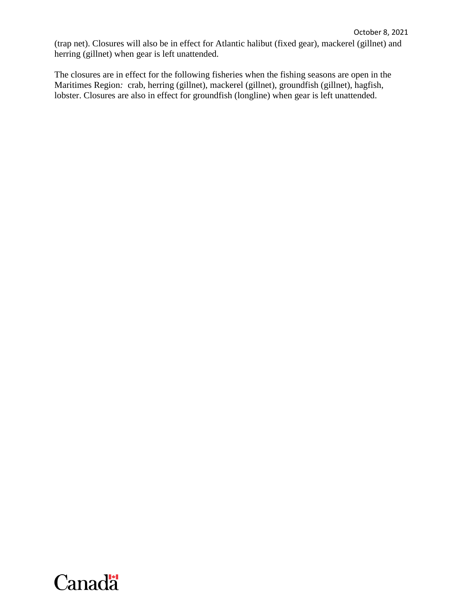(trap net). Closures will also be in effect for Atlantic halibut (fixed gear), mackerel (gillnet) and herring (gillnet) when gear is left unattended.

The closures are in effect for the following fisheries when the fishing seasons are open in the Maritimes Region*:* crab, herring (gillnet), mackerel (gillnet), groundfish (gillnet), hagfish, lobster. Closures are also in effect for groundfish (longline) when gear is left unattended.

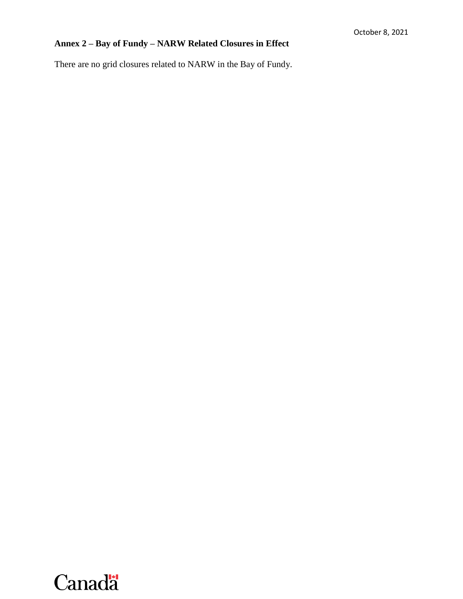## **Annex 2 – Bay of Fundy – NARW Related Closures in Effect**

There are no grid closures related to NARW in the Bay of Fundy.

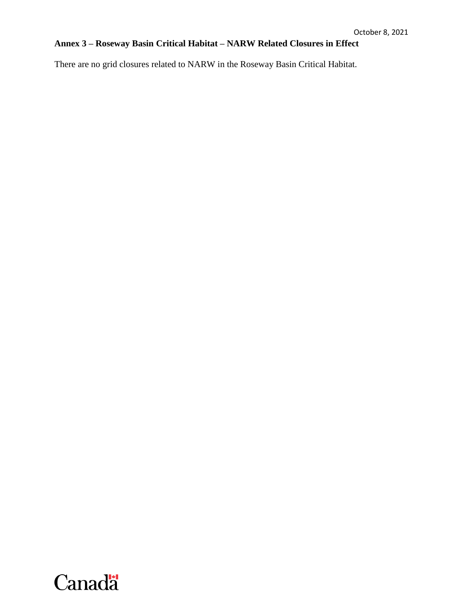## **Annex 3 – Roseway Basin Critical Habitat – NARW Related Closures in Effect**

There are no grid closures related to NARW in the Roseway Basin Critical Habitat.